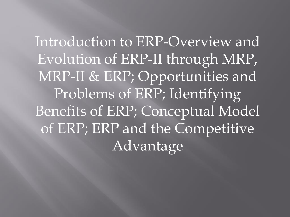Introduction to ERP-Overview and Evolution of ERP-II through MRP, MRP-II & ERP; Opportunities and Problems of ERP; Identifying Benefits of ERP; Conceptual Model of ERP; ERP and the Competitive Advantage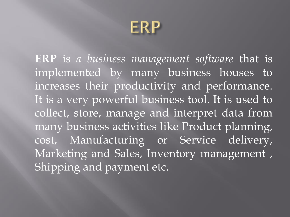

**ERP** is *a business management software* that is implemented by many business houses to increases their productivity and performance. It is a very powerful business tool. It is used to collect, store, manage and interpret data from many business activities like Product planning, cost, Manufacturing or Service delivery, Marketing and Sales, Inventory management , Shipping and payment etc.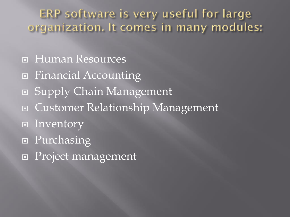ERP software is very useful for large organization. It comes in many modules:

- Human Resources
- □ Financial Accounting
- Supply Chain Management
- Customer Relationship Management
- $\Box$  Inventory
- **Purchasing**
- □ Project management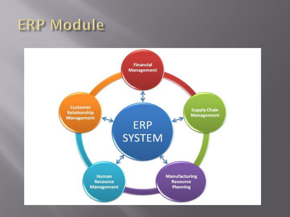## ERP Module

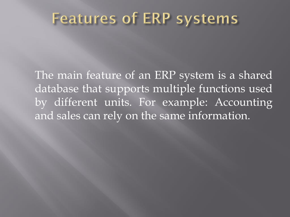### **Features of ERP systems**

The main feature of an ERP system is a shared database that supports multiple functions used by different units. For example: Accounting and sales can rely on the same information.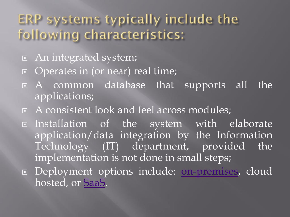### ERP systems typically include the following characteristics:

- An integrated system;
- □ Operates in (or near) real time;
- A common database that supports all the applications;
- A consistent look and feel across modules;
- Installation of the system with elaborate application/data integration by the Information Technology (IT) department, provided the implementation is not done in small steps;
- Deployment options include: [on-premises,](https://en.wikipedia.org/wiki/On-premises) cloud hosted, or [SaaS](https://en.wikipedia.org/wiki/SaaS).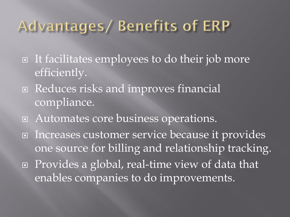## Advantages/ Benefits of ERP

- $\Box$  It facilitates employees to do their job more efficiently.
- Reduces risks and improves financial compliance.
- □ Automates core business operations.
- Increases customer service because it provides one source for billing and relationship tracking. ■ Provides a global, real-time view of data that enables companies to do improvements.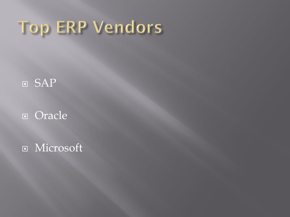# Top ERP Vendors

### SAP

### Oracle

**E** Microsoft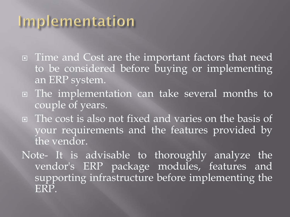## Implementation

- □ Time and Cost are the important factors that need to be considered before buying or implementing an ERP system.
- The implementation can take several months to couple of years.
- The cost is also not fixed and varies on the basis of your requirements and the features provided by the vendor.
- Note- It is advisable to thoroughly analyze the vendor's ERP package modules, features and supporting infrastructure before implementing the ERP.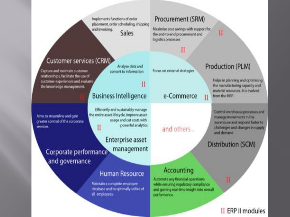Implements functions of order placement, order scheduling, shipping and invoicing. Sales

Analyse data and

convert to information

#### Procurement (SRM)

Maximise cost savings with support for the end-to-end procurement and logistics processes

#### Customer services (CRM)

Capture and maintain customer relationships, facilitate the use of customer experiences and evaluate the knowledge management.

Aims to streamline and gain greater control of the corporate services

## **Business Intelligence**

Efficiently and sustainably manage the entire asset lifecycle, improve asset. usage and cut costs with powerful analytics П

**Enterprise asset** management Corporate performance and governance

#### **Human Resource**

Maintain a complete employee database and to optimally utilise of all employees.

#### Focus on external strategies

e-Commerce

and others...

П

### Production (PLM)

П

Helps in planning and optimising the manufacturing capacity and material resources. It is evolved from the MRP.

Control warehouse processes and manage movements in the warehouse and respond faster to challenges and changes in supply and demand

Distribution (SCM)

#### **Accounting**

Automate any financial operations while ensuring regulatory compliance and gaining real-time insight into overall performance.

#### II ERP II modules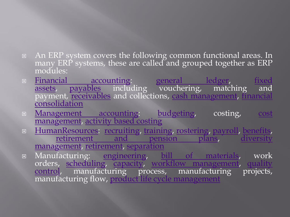- **EXP** system covers the following common functional areas. In many ERP systems, these are called and grouped together as ERP modules:
- **Financial [accounting:](https://en.wikipedia.org/wiki/Financial_accounting) [general](https://en.wikipedia.org/wiki/General_ledger) ledger, fixed** assets, [payables](https://en.wikipedia.org/wiki/Accounts_payable) including [vouchering,](https://en.wikipedia.org/wiki/Fixed_asset) matching and payment[,](https://en.wikipedia.org/wiki/Consolidation_(business)) **[receivables](https://en.wikipedia.org/wiki/Accounts_receivable)** and collections, cash [management](https://en.wikipedia.org/wiki/Cash_management), financial consolidation
- **E** [Management](https://en.wikipedia.org/wiki/Management_accounting) accounting: [budgeting,](https://en.wikipedia.org/wiki/Budgeting) costing, cost [management,](https://en.wikipedia.org/wiki/Cost_management) [activity](https://en.wikipedia.org/wiki/Activity_based_costing) based costing
- **E** [HumanResources:](https://en.wikipedia.org/wiki/Human_resources) [recruiting,](https://en.wikipedia.org/wiki/Recruitment) [training,](https://en.wikipedia.org/wiki/Training) [rostering,](https://en.wikipedia.org/wiki/Schedule_(workplace)) [payroll](https://en.wikipedia.org/wiki/Payroll), [benefits,](https://en.wikipedia.org/wiki/Employee_benefit) [retirement](https://en.wikipedia.org/wiki/Pensions) and pension plans, diversity [management,](https://en.wikipedia.org/wiki/Diversity_(business)) [retirement,](https://en.wikipedia.org/wiki/Retirement) [separation](https://en.wikipedia.org/wiki/Employee_exit_management)
- Manufacturing: [engineering,](https://en.wikipedia.org/wiki/Engineering) bill of [materials,](https://en.wikipedia.org/wiki/Bill_of_materials) work orders, [scheduling,](https://en.wikipedia.org/wiki/Scheduling) [capacity](https://en.wikipedia.org/wiki/Capacity_utilization), workflow [management,](https://en.wikipedia.org/wiki/Workflow_management_system) quality control, [manufacturing](https://en.wikipedia.org/wiki/Quality_control) process, manufacturing projects, manufacturing flow, product life cycle [management](https://en.wikipedia.org/wiki/Product_life_cycle_management)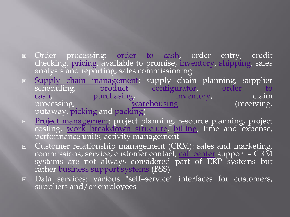- $\hspace{0.2cm}$   $\hspace{0.2cm}$   $\hspace{0.2cm}$   $\hspace{0.2cm}$   $\hspace{0.2cm}$   $\hspace{0.2cm}$   $\hspace{0.2cm}$   $\hspace{0.2cm}$   $\hspace{0.2cm}$   $\hspace{0.2cm}$   $\hspace{0.2cm}$   $\hspace{0.2cm}$   $\hspace{0.2cm}$   $\hspace{0.2cm}$   $\hspace{0.2cm}$   $\hspace{0.2cm}$   $\hspace{0.2cm}$   $\hspace{0.2cm}$   $\hspace{0$ checking, [pricing](https://en.wikipedia.org/wiki/Pricing), available to promise, [inventory,](https://en.wikipedia.org/wiki/Inventory) [shipping,](https://en.wikipedia.org/wiki/Shipping) sales analysis and reporting, sales commissioning
- **Examply chain [management](https://en.wikipedia.org/wiki/Supply_chain_management):** supply chain planning, supplier scheduling, product configurator, order to scheduling, product [configurator](https://en.wikipedia.org/wiki/Product_configurator)[,](https://en.wikipedia.org/wiki/Order_to_cash) order to<br>cash, purchasing, inventory, claim cash, [purchasing,](https://en.wikipedia.org/wiki/Purchasing) [inventory,](https://en.wikipedia.org/wiki/Inventory) claim<br>processing, warehousing (receiving, [warehousing](https://en.wikipedia.org/wiki/Warehousing) putaway, [picking](https://en.wikipedia.org/wiki/Order_picking) and [packing\)](https://en.wikipedia.org/wiki/Packaging_and_labeling)
- **Project management**: project planning, resource planning, project costing, work [breakdown](https://en.wikipedia.org/wiki/Work_breakdown_structure) structure, [billing,](https://en.wikipedia.org/wiki/Invoice) time and expense, performance units, activity management
- Customer relationship management (CRM): sales and marketing, commissions, service, customer contact, call [center](https://en.wikipedia.org/wiki/Call_center) support – CRM systems are not always considered part of ERP systems but rather [business](https://en.wikipedia.org/wiki/Business_support_system) support systems (BSS)
- Data services: various "self–service" interfaces for customers, suppliers and/or employees